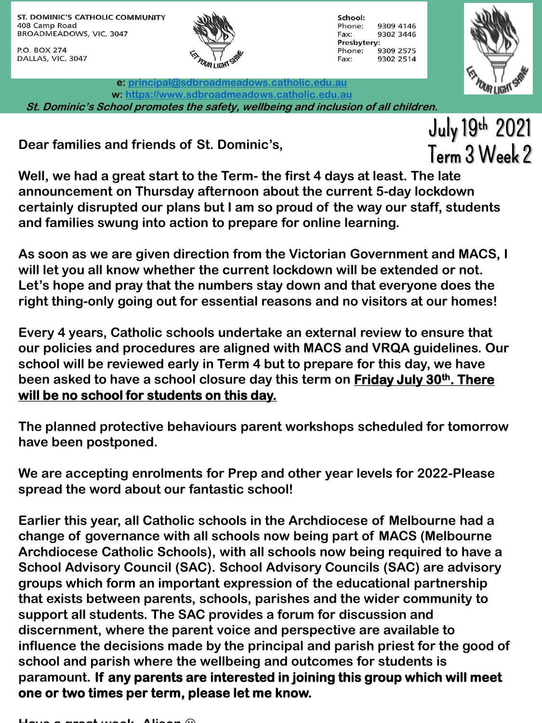ST. DOMINIC'S CATHOLIC COMMUNITY 408 Camp Road BROADMEADOWS, VIC. 3047

P.O. BOX 274 DALLAS, VIC. 3047



School: Phone: 9309 4146 Fax: 9302 3446 Presbytery: 9309 2575 Phone: 9302 2514 Fax:

**e: [principal@sdbroadmeadows.catholic.edu.au](mailto:principal@sdbroadmeadows.catholic.edu.au) w: [https://www.sdbroadmeadows.catholic.edu.au](https://www.sdbroadmeadows.catholic.edu.au/) St. Dominic's School promotes the safety, wellbeing and inclusion of all children.**

**Dear families and friends of St. Dominic's,**

I IGN July 19th 2021 Term 3 Week 2

**Well, we had a great start to the Term- the first 4 days at least. The late announcement on Thursday afternoon about the current 5-day lockdown certainly disrupted our plans but I am so proud of the way our staff, students and families swung into action to prepare for online learning.**

**As soon as we are given direction from the Victorian Government and MACS, I will let you all know whether the current lockdown will be extended or not. Let's hope and pray that the numbers stay down and that everyone does the right thing-only going out for essential reasons and no visitors at our homes!**

**Every 4 years, Catholic schools undertake an external review to ensure that our policies and procedures are aligned with MACS and VRQA guidelines. Our school will be reviewed early in Term 4 but to prepare for this day, we have been asked to have a school closure day this term on Friday July 30th. There will be no school for students on this day.**

**The planned protective behaviours parent workshops scheduled for tomorrow have been postponed.**

**We are accepting enrolments for Prep and other year levels for 2022-Please spread the word about our fantastic school!**

**Earlier this year, all Catholic schools in the Archdiocese of Melbourne had a change of governance with all schools now being part of MACS (Melbourne Archdiocese Catholic Schools), with all schools now being required to have a School Advisory Council (SAC). School Advisory Councils (SAC) are advisory groups which form an important expression of the educational partnership that exists between parents, schools, parishes and the wider community to support all students. The SAC provides a forum for discussion and discernment, where the parent voice and perspective are available to influence the decisions made by the principal and parish priest for the good of school and parish where the wellbeing and outcomes for students is paramount. If any parents are interested in joining this group which will meet one or two times per term, please let me know.**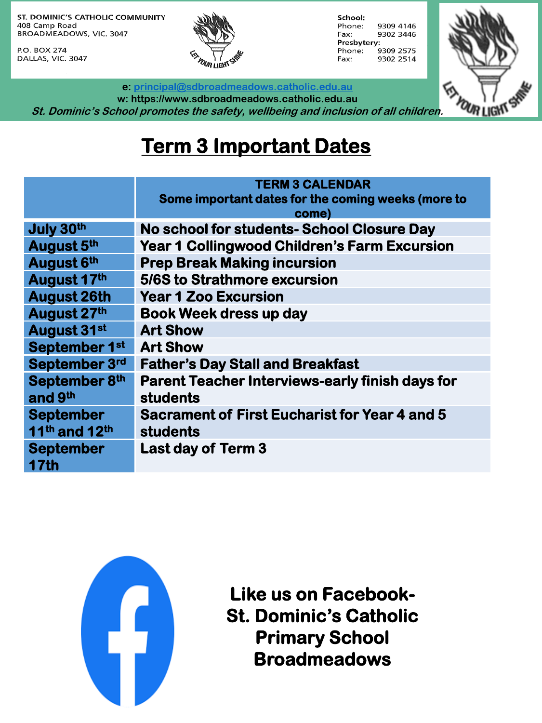ST. DOMINIC'S CATHOLIC COMMUNITY 408 Camp Road BROADMEADOWS, VIC. 3047

P.O. BOX 274 DALLAS, VIC. 3047



School: 9309 4146 Phone: Fax: 9302 3446 Presbytery: Phone: 9309 2575 9302 2514 Fax:



**e: [principal@sdbroadmeadows.catholic.edu.au](mailto:principal@sdbroadmeadows.catholic.edu.au)**

**w: https://www.sdbroadmeadows.catholic.edu.au St. Dominic's School promotes the safety, wellbeing and inclusion of all children.**

## **Term 3 Important Dates**

|                                                           | <b>TERM 3 CALENDAR</b>                                                    |  |  |
|-----------------------------------------------------------|---------------------------------------------------------------------------|--|--|
|                                                           | Some important dates for the coming weeks (more to<br>come)               |  |  |
| July 30th                                                 | No school for students- School Closure Day                                |  |  |
| August 5th                                                | <b>Year 1 Collingwood Children's Farm Excursion</b>                       |  |  |
| August 6th                                                | <b>Prep Break Making incursion</b>                                        |  |  |
| August 17th                                               | 5/6S to Strathmore excursion                                              |  |  |
| <b>August 26th</b>                                        | <b>Year 1 Zoo Excursion</b>                                               |  |  |
| August 27th                                               | <b>Book Week dress up day</b>                                             |  |  |
| August 31st                                               | <b>Art Show</b>                                                           |  |  |
| September 1st                                             | <b>Art Show</b>                                                           |  |  |
| September 3rd                                             | <b>Father's Day Stall and Breakfast</b>                                   |  |  |
| September 8th<br>and 9th                                  | <b>Parent Teacher Interviews-early finish days for</b><br><b>students</b> |  |  |
| <b>September</b><br>11 <sup>th</sup> and 12 <sup>th</sup> | <b>Sacrament of First Eucharist for Year 4 and 5</b><br><b>students</b>   |  |  |
| <b>September</b><br><b>17th</b>                           | <b>Last day of Term 3</b>                                                 |  |  |



**Like us on Facebook-St. Dominic's Catholic Primary School Broadmeadows**